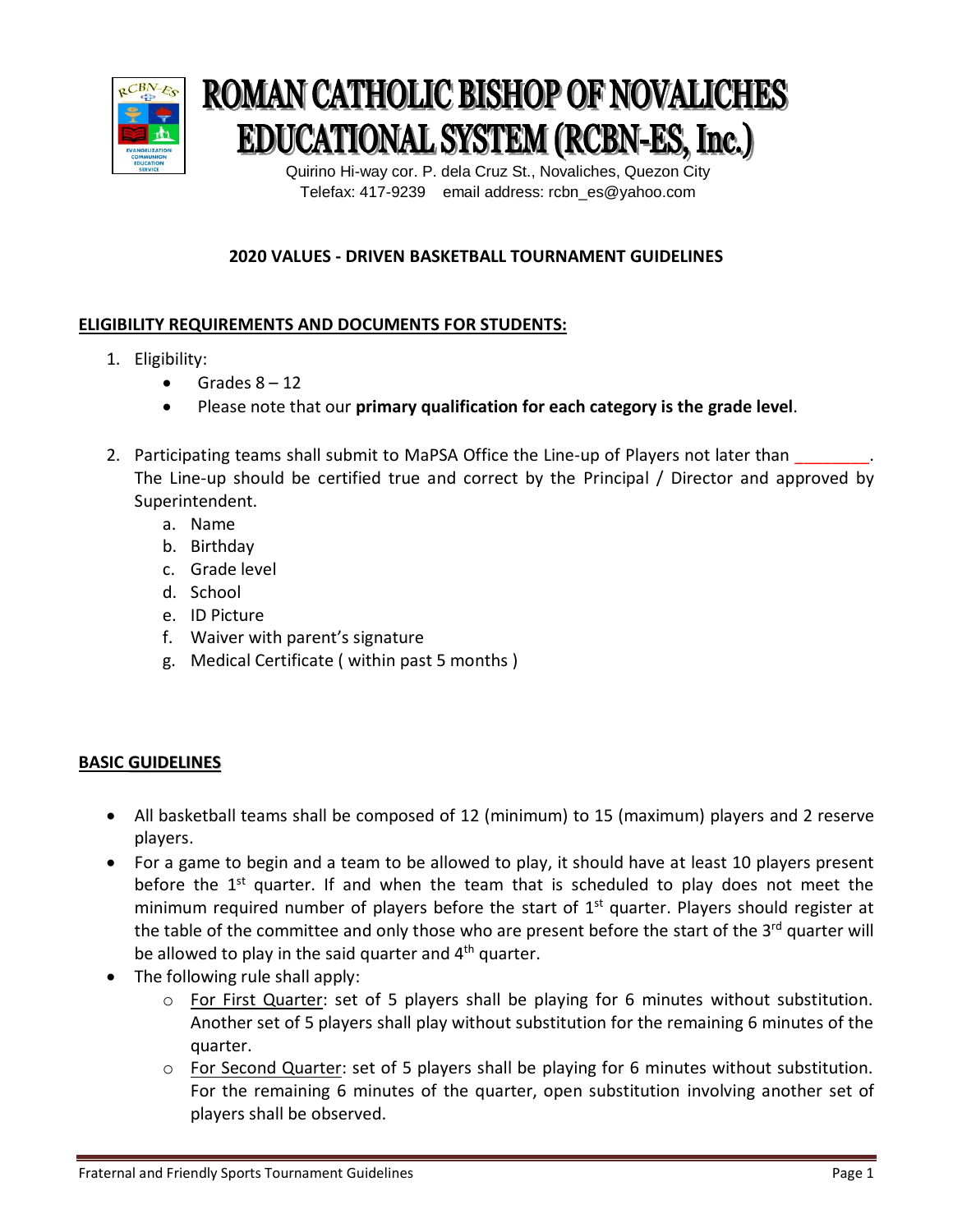

# **ROMAN CATHOLIC BISHOP OF NOVALICHES EDUCATIONAL SYSTEM (RCBN-ES, Inc.)**

 Quirino Hi-way cor. P. dela Cruz St., Novaliches, Quezon City Telefax: 417-9239 email address: rcbn\_es@yahoo.com

## **2020 VALUES - DRIVEN BASKETBALL TOURNAMENT GUIDELINES**

### **ELIGIBILITY REQUIREMENTS AND DOCUMENTS FOR STUDENTS:**

- 1. Eligibility:
	- $\bullet$  Grades  $8 12$
	- Please note that our **primary qualification for each category is the grade level**.
- 2. Participating teams shall submit to MaPSA Office the Line-up of Players not later than The Line-up should be certified true and correct by the Principal / Director and approved by Superintendent.
	- a. Name
	- b. Birthday
	- c. Grade level
	- d. School
	- e. ID Picture
	- f. Waiver with parent's signature
	- g. Medical Certificate ( within past 5 months )

#### **BASIC GUIDELINES**

- All basketball teams shall be composed of 12 (minimum) to 15 (maximum) players and 2 reserve players.
- For a game to begin and a team to be allowed to play, it should have at least 10 players present before the 1<sup>st</sup> quarter. If and when the team that is scheduled to play does not meet the minimum required number of players before the start of 1<sup>st</sup> quarter. Players should register at the table of the committee and only those who are present before the start of the 3<sup>rd</sup> quarter will be allowed to play in the said quarter and  $4<sup>th</sup>$  quarter.
- The following rule shall apply:
	- o For First Quarter: set of 5 players shall be playing for 6 minutes without substitution. Another set of 5 players shall play without substitution for the remaining 6 minutes of the quarter.
	- o For Second Quarter: set of 5 players shall be playing for 6 minutes without substitution. For the remaining 6 minutes of the quarter, open substitution involving another set of players shall be observed.